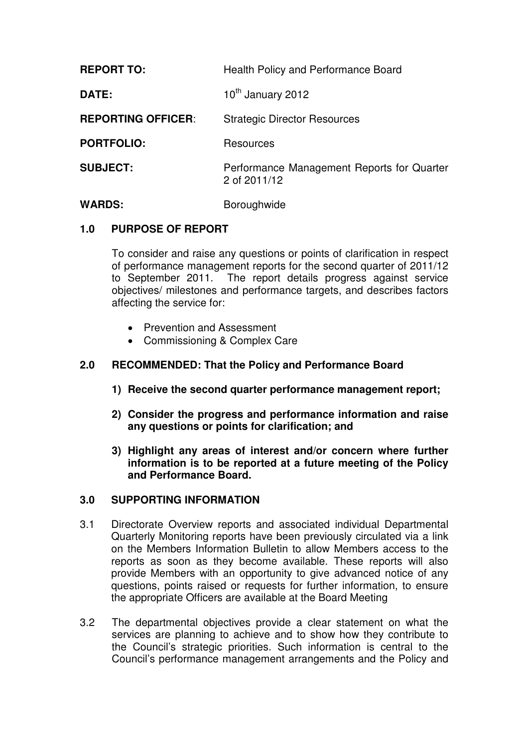| <b>REPORT TO:</b>         | <b>Health Policy and Performance Board</b>                 |
|---------------------------|------------------------------------------------------------|
| DATE:                     | 10th January 2012                                          |
| <b>REPORTING OFFICER:</b> | <b>Strategic Director Resources</b>                        |
| <b>PORTFOLIO:</b>         | Resources                                                  |
| <b>SUBJECT:</b>           | Performance Management Reports for Quarter<br>2 of 2011/12 |
| <b>WARDS:</b>             | Boroughwide                                                |

# **1.0 PURPOSE OF REPORT**

To consider and raise any questions or points of clarification in respect of performance management reports for the second quarter of 2011/12 to September 2011. The report details progress against service objectives/ milestones and performance targets, and describes factors affecting the service for:

- Prevention and Assessment
- Commissioning & Complex Care

# **2.0 RECOMMENDED: That the Policy and Performance Board**

- **1) Receive the second quarter performance management report;**
- **2) Consider the progress and performance information and raise any questions or points for clarification; and**
- **3) Highlight any areas of interest and/or concern where further information is to be reported at a future meeting of the Policy and Performance Board.**

#### **3.0 SUPPORTING INFORMATION**

- 3.1 Directorate Overview reports and associated individual Departmental Quarterly Monitoring reports have been previously circulated via a link on the Members Information Bulletin to allow Members access to the reports as soon as they become available. These reports will also provide Members with an opportunity to give advanced notice of any questions, points raised or requests for further information, to ensure the appropriate Officers are available at the Board Meeting
- 3.2 The departmental objectives provide a clear statement on what the services are planning to achieve and to show how they contribute to the Council's strategic priorities. Such information is central to the Council's performance management arrangements and the Policy and